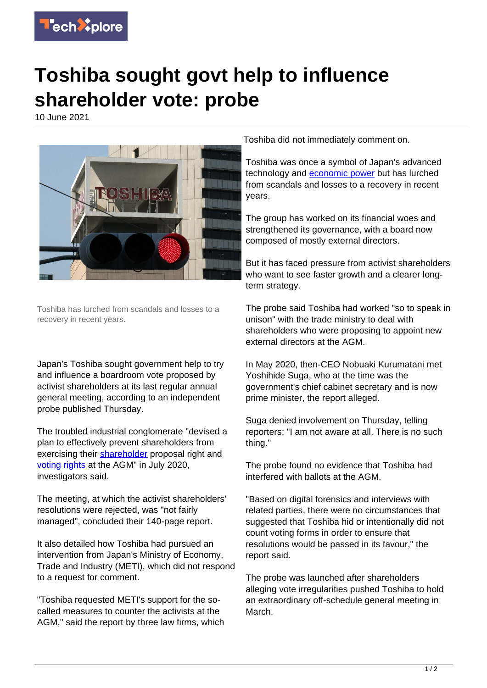

## **Toshiba sought govt help to influence shareholder vote: probe**

10 June 2021



Toshiba has lurched from scandals and losses to a recovery in recent years.

Japan's Toshiba sought government help to try and influence a boardroom vote proposed by activist shareholders at its last regular annual general meeting, according to an independent probe published Thursday.

The troubled industrial conglomerate "devised a plan to effectively prevent shareholders from exercising their [shareholder](https://techxplore.com/tags/shareholder/) proposal right and [voting rights](https://techxplore.com/tags/voting+rights/) at the AGM" in July 2020, investigators said.

The meeting, at which the activist shareholders' resolutions were rejected, was "not fairly managed", concluded their 140-page report.

It also detailed how Toshiba had pursued an intervention from Japan's Ministry of Economy, Trade and Industry (METI), which did not respond to a request for comment.

"Toshiba requested METI's support for the socalled measures to counter the activists at the AGM," said the report by three law firms, which Toshiba did not immediately comment on.

Toshiba was once a symbol of Japan's advanced technology and **economic power** but has lurched from scandals and losses to a recovery in recent years.

The group has worked on its financial woes and strengthened its governance, with a board now composed of mostly external directors.

But it has faced pressure from activist shareholders who want to see faster growth and a clearer longterm strategy.

The probe said Toshiba had worked "so to speak in unison" with the trade ministry to deal with shareholders who were proposing to appoint new external directors at the AGM.

In May 2020, then-CEO Nobuaki Kurumatani met Yoshihide Suga, who at the time was the government's chief cabinet secretary and is now prime minister, the report alleged.

Suga denied involvement on Thursday, telling reporters: "I am not aware at all. There is no such thing."

The probe found no evidence that Toshiba had interfered with ballots at the AGM.

"Based on digital forensics and interviews with related parties, there were no circumstances that suggested that Toshiba hid or intentionally did not count voting forms in order to ensure that resolutions would be passed in its favour," the report said.

The probe was launched after shareholders alleging vote irregularities pushed Toshiba to hold an extraordinary off-schedule general meeting in March.